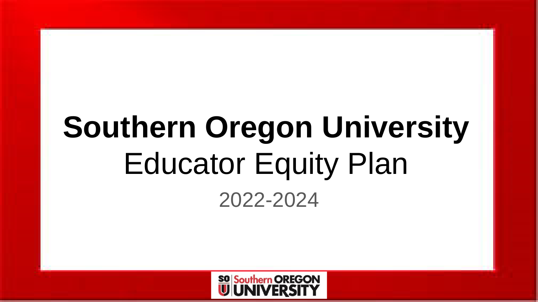# **Southern Oregon University** Educator Equity Plan 2022-2024

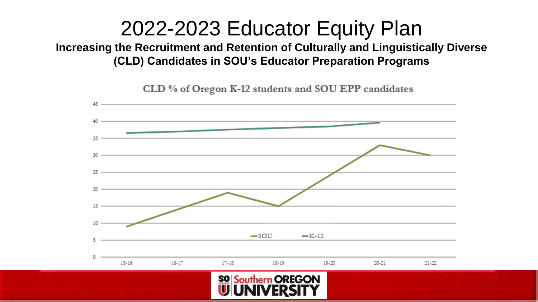### 2022-2023 Educator Equity Plan

**Increasing the Recruitment and Retention of Culturally and Linguistically Diverse (CLD) Candidates in SOU's Educator Preparation Programs**



CLD % of Oregon K-12 students and SOU EPP candidates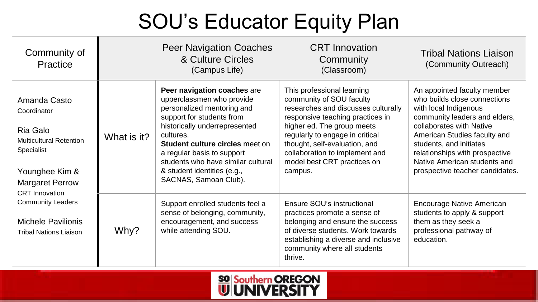# SOU's Educator Equity Plan

| Community of<br>Practice                                                                                                                                                                                                                               |             | <b>Peer Navigation Coaches</b><br>& Culture Circles<br>(Campus Life)                                                                                                                                                                                                                                                             | <b>CRT</b> Innovation<br>Community<br>(Classroom)                                                                                                                                                                                                                                                               | <b>Tribal Nations Liaison</b><br>(Community Outreach)                                                                                                                                                                                                                                                             |
|--------------------------------------------------------------------------------------------------------------------------------------------------------------------------------------------------------------------------------------------------------|-------------|----------------------------------------------------------------------------------------------------------------------------------------------------------------------------------------------------------------------------------------------------------------------------------------------------------------------------------|-----------------------------------------------------------------------------------------------------------------------------------------------------------------------------------------------------------------------------------------------------------------------------------------------------------------|-------------------------------------------------------------------------------------------------------------------------------------------------------------------------------------------------------------------------------------------------------------------------------------------------------------------|
| Amanda Casto<br>Coordinator<br>Ria Galo<br><b>Multicultural Retention</b><br>Specialist<br>Younghee Kim &<br><b>Margaret Perrow</b><br><b>CRT</b> Innovation<br><b>Community Leaders</b><br><b>Michele Pavilionis</b><br><b>Tribal Nations Liaison</b> | What is it? | Peer navigation coaches are<br>upperclassmen who provide<br>personalized mentoring and<br>support for students from<br>historically underrepresented<br>cultures.<br>Student culture circles meet on<br>a regular basis to support<br>students who have similar cultural<br>& student identities (e.g.,<br>SACNAS, Samoan Club). | This professional learning<br>community of SOU faculty<br>researches and discusses culturally<br>responsive teaching practices in<br>higher ed. The group meets<br>regularly to engage in critical<br>thought, self-evaluation, and<br>collaboration to implement and<br>model best CRT practices on<br>campus. | An appointed faculty member<br>who builds close connections<br>with local Indigenous<br>community leaders and elders,<br>collaborates with Native<br>American Studies faculty and<br>students, and initiates<br>relationships with prospective<br>Native American students and<br>prospective teacher candidates. |
|                                                                                                                                                                                                                                                        | Why?        | Support enrolled students feel a<br>sense of belonging, community,<br>encouragement, and success<br>while attending SOU.                                                                                                                                                                                                         | Ensure SOU's instructional<br>practices promote a sense of<br>belonging and ensure the success<br>of diverse students. Work towards<br>establishing a diverse and inclusive<br>community where all students<br>thrive.                                                                                          | <b>Encourage Native American</b><br>students to apply & support<br>them as they seek a<br>professional pathway of<br>education.                                                                                                                                                                                   |